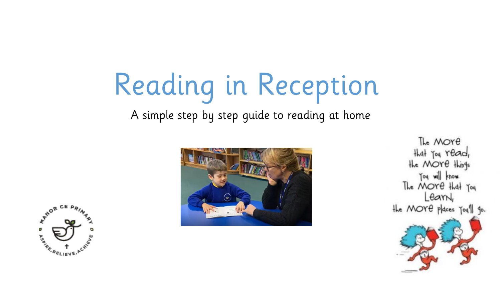# Reading in Reception

A simple step by step guide to reading at home





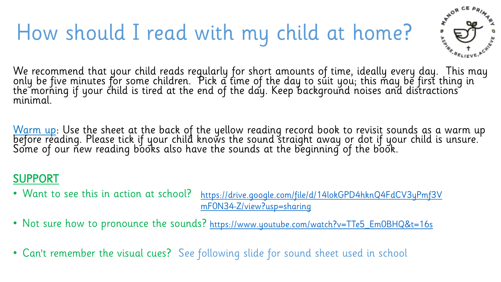### How should I read with my child at home?



We recommend that your child reads regularly for short amounts of time, ideally every day. This may only be five minutes for some children. Pick a time of the day to suit you; this may be first thing in the morning if your child is tired at the end of the day. Keep background noises and distractions minimal.

<u>Warm up</u>: Use the sheet at the back of the yellow reading record book to revisit sounds as a warm up before reading. Please tick if your child knows the sound straight away or dot if your child is unsure.' Some of our new reading books also have the sounds at the beginning of the book.

#### SUPPORT

- Want to see this in action at school? [https://drive.google.com/file/d/14lokGPD4hknQ4FdCV3yPmf3V](https://drive.google.com/file/d/14lokGPD4hknQ4FdCV3yPmf3VmF0N34-Z/view?usp=sharing) mF0N34-Z/view?usp=sharing
- Not sure how to pronounce the sounds? [https://www.youtube.com/watch?v=TTe5\\_Em0BHQ&t=16s](https://www.youtube.com/watch?v=TTe5_Em0BHQ&t=16s)
- Can't remember the visual cues? See following slide for sound sheet used in school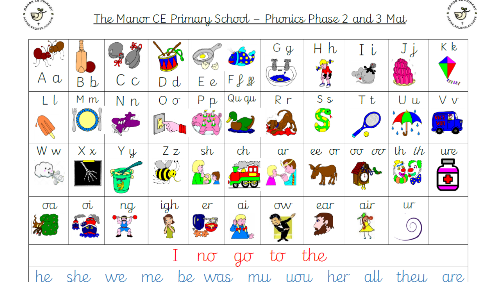

#### <u> The Manor CE Primary School – Phonics Phase 2 and 3 Mat</u>



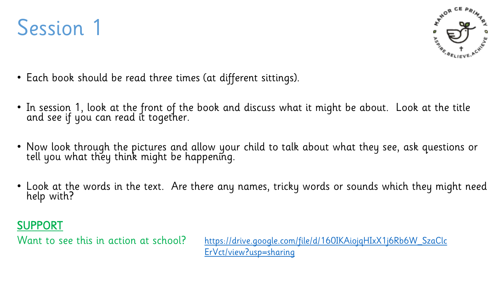



- Each book should be read three times (at different sittings).
- In session 1, look at the front of the book and discuss what it might be about. Look at the title and see if you can read it together.
- Now look through the pictures and allow your child to talk about what they see, ask questions or tell you what they think might be happening.
- Look at the words in the text. Are there any names, tricky words or sounds which they might need help with?

#### SUPPORT

Want to see this in action at school?

[https://drive.google.com/file/d/160IKAiojqHIxX1j6Rb6W\\_SzaClc](https://drive.google.com/file/d/160IKAiojqHIxX1j6Rb6W_SzaClcErVct/view?usp=sharing) ErVct/view?usp=sharing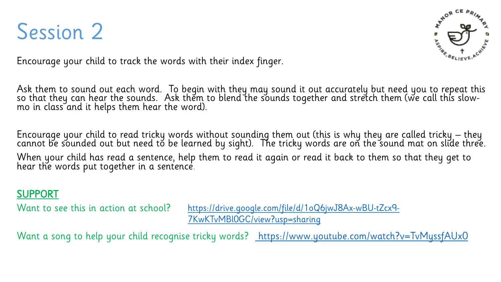



Encourage your child to track the words with their index finger.

Ask them to sound out each word. To begin with they may sound it out accurately but need you to repeat this so that they can hear the sounds. Ask them to blend the sounds together and stretch them (we call this slowmo in class and it helps them hear the word).

Encourage your child to read tricky words without sounding them out (this is why they are called tricky – they cannot be sounded out but need to be learned by sight). The tricky words are on the sound mat on slide three. When your child has read a sentence, help them to read it again or read it back to them so that they get to hear the words put together in a sentence.

#### SUPPORT

Want to see this in action at school?

[https://drive.google.com/file/d/1oQ6jwJ8Ax-wBU-tZcx9-](https://drive.google.com/file/d/1oQ6jwJ8Ax-wBU-tZcx9-7KwKTvMBl0GC/view?usp=sharing) 7KwKTvMBl0GC/view?usp=sharing

Want a song to help your child recognise tricky words? <https://www.youtube.com/watch?v=TvMyssfAUx0>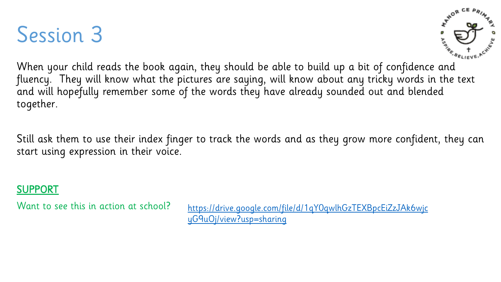### Session 3



When your child reads the book again, they should be able to build up a bit of confidence and fluency. They will know what the pictures are saying, will know about any tricky words in the text and will hopefully remember some of the words they have already sounded out and blended together.

Still ask them to use their index finger to track the words and as they grow more confident, they can start using expression in their voice.

#### SUPPORT

Want to see this in action at school? [https://drive.google.com/file/d/1qY0qwlhGzTEXBpcEiZzJAk6wjc](https://drive.google.com/file/d/1qY0qwlhGzTEXBpcEiZzJAk6wjcyG9uOj/view?usp=sharing) yG9uOj/view?usp=sharing